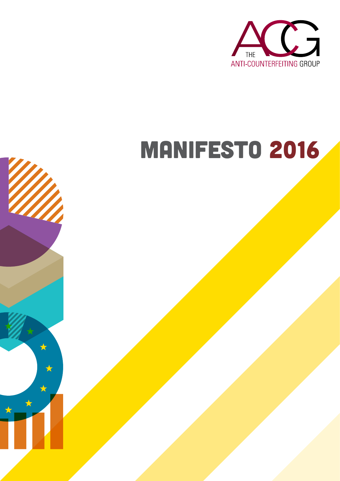

# Manifesto 2016

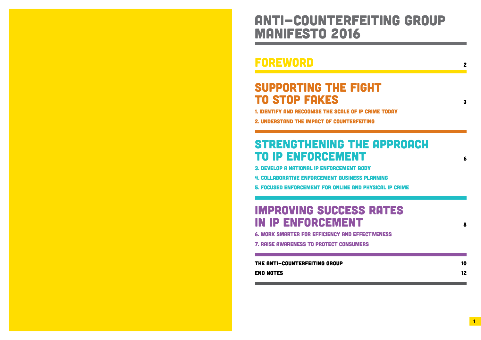### Anti-Counterfeiting Group Manifesto 2016

### **FOREWORD**

### SUPPORTING THE FIG **TO STOP FAKES**

1. IDENTIFY AND RECOGNISE THE SCALE OF IP

2. UNDERSTAND THE IMPACT OF COUNTERFEIT

### STRENGTHENING THE **TO IP ENFORCEMENT**

3. DEVELOP A NATIONAL IP ENFORCEMENT BO 4. COLLABORATIVE ENFORCEMENT BUSINESS

5. FOCUSED ENFORCEMENT FOR ONLINE AND

### **IMPROVING SUCCESS IN IP ENFORCEMENT**

6. WORK SMARTER FOR EFFICIENCY AND EFFE

**7. RAISE AWARENESS TO PROTECT CONSUMER** 

THE ANTI-COUNTERFEITING GROUP **END NOTES** 

a sa kacamatan ing Kabupatèn Kabupatèn Kabupatèn Kabupatèn Kabupatèn Kabupatèn Kabupatèn Kabupatèn Kabupatèn K

|                                                                        | 2        |
|------------------------------------------------------------------------|----------|
| <b>GHT</b><br><b>CRIME TODAY</b><br><b>TING</b>                        | 3        |
| E APPROACH<br><b>DY</b><br><b>PLANNING</b><br><b>PHYSICAL IP CRIME</b> | 6        |
| <b>RATES</b><br><b>ECTIVENESS</b><br>RS                                | 8        |
|                                                                        | 10<br>12 |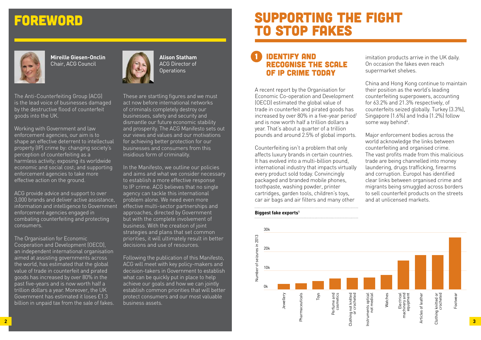### Supporting the fight to stop fakes

#### **IDENTIFY AND** recognise the scale of IP crime today

A recent report by the Organisation for Economic Co-operation and Development (OECD) estimated the global value of trade in counterfeit and pirated goods has increased by over 80% in a five-year period<sup>1</sup> and is now worth half a trillion dollars a year. That's about a quarter of a trillion pounds and around 2.5% of global imports.

China and Hong Kong continue to maintain their position as the world's leading counterfeiting superpowers, accounting for 63.2% and 21.3% respectively, of counterfeits seized globally. Turkey (3.3%), Singapore (1.6%) and India (1.2%) follow some way behind<sup>4</sup>.

Counterfeiting isn't a problem that only affects luxury brands in certain countries. It has evolved into a multi-billion pound, international industry that impacts virtually every product sold today. Convincingly packaged and branded mobile phones, toothpaste, washing powder, printer cartridges, garden tools, children's toys, car air bags and air filters and many other

imitation products arrive in the UK daily. On occasion the fakes even reach supermarket shelves.

Major enforcement bodies across the world acknowledge the links between counterfeiting and organised crime. The vast profits made from this malicious trade are being channelled into money laundering, drugs trafficking, firearms and corruption. Europol has identified clear links between organised crime and migrants being smuggled across borders to sell counterfeit products on the streets and at unlicensed markets.

The Anti-Counterfeiting Group (ACG) is the lead voice of businesses damaged by the destructive flood of counterfeit goods into the UK.

Working with Government and law enforcement agencies, our aim is to shape an effective deterrent to intellectual property (IP) crime by: changing society's perception of counterfeiting as a harmless activity; exposing its worldwide economic and social cost; and supporting enforcement agencies to take more effective action on the ground.

ACG provide advice and support to over 3,000 brands and deliver active assistance, information and intelligence to Government enforcement agencies engaged in combating counterfeiting and protecting consumers.

The Organisation for Economic Cooperation and Development (OECD), an independent international organisation aimed at assisting governments across the world, has estimated that the global value of trade in counterfeit and pirated goods has increased by over 80% in the past five-years and is now worth half a trillion dollars a year. Moreover, the UK Government has estimated it loses £1.3 billion in unpaid tax from the sale of fakes.



These are startling figures and we must act now before international networks of criminals completely destroy our businesses, safety and security and dismantle our future economic stability and prosperity. The ACG Manifesto sets out our views and values and our motivations for achieving better protection for our businesses and consumers from this insidious form of criminality.

In the Manifesto, we outline our policies and aims and what we consider necessary to establish a more effective response to IP crime. ACG believes that no single agency can tackle this international problem alone. We need even more effective multi-sector partnerships and approaches, directed by Government but with the complete involvement of business. With the creation of joint strategies and plans that set common priorities, it will ultimately result in better decisions and use of resources.

Following the publication of this Manifesto, ACG will meet with key policy-makers and decision-takers in Government to establish what can be quickly put in place to help achieve our goals and how we can jointly establish common priorities that will better protect consumers and our most valuable business assets.

## Foreword

#### **Biggest fake exports1**







**Mireille Giesen-Onclin** Chair, ACG Council

**Alison Statham** ACG Director of Operations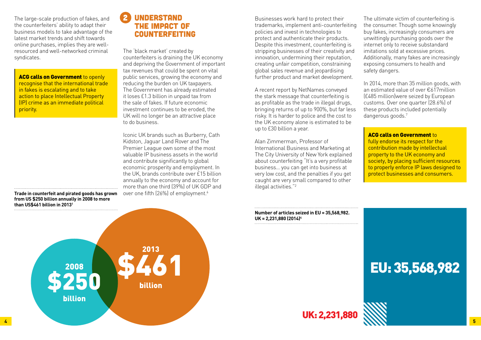Businesses work hard to protect their trademarks, implement anti-counterfeiting policies and invest in technologies to protect and authenticate their products. Despite this investment, counterfeiting is stripping businesses of their creativity and innovation, undermining their reputation, creating unfair competition, constraining global sales revenue and jeopardising further product and market development.

A recent report by NetNames conveyed the stark message that counterfeiting is as profitable as the trade in illegal drugs, bringing returns of up to 900%, but far less risky. It is harder to police and the cost to the UK economy alone is estimated to be up to £30 billion a year.

In 2014, more than 35 million goods, with an estimated value of over €617million (£485 million)were seized by European customs. Over one quarter (28.6%) of these products included potentially dangerous goods.<sup>7</sup>

#### **ACG calls on Government to**

Alan Zimmerman, Professor of International Business and Marketing at The City University of New York explained about counterfeiting "It's a very profitable business… you can get into business at very low cost, and the penalties if you get caught are very small compared to other illegal activities."2

ACG calls on Government to openly recognise that the international trade in fakes is escalating and to take action to place Intellectual Property (IP) crime as an immediate political priority.

The ultimate victim of counterfeiting is the consumer. Though some knowingly buy fakes, increasingly consumers are unwittingly purchasing goods over the internet only to receive substandard imitations sold at excessive prices. Additionally, many fakes are increasingly exposing consumers to health and safety dangers.

Iconic UK brands such as Burberry, Cath Kidston, Jaguar Land Rover and The Premier League own some of the most valuable IP business assets in the world and contribute significantly to global economic prosperity and employment. In the UK, brands contribute over £15 billion annually to the economy and account for more than one third (39%) of UK GDP and over one fifth (26%) of employment.<sup>6</sup>

fully endorse its respect for the contribution made by intellectual property to the UK economy and society, by placing sufficient resources to properly enforce IP laws designed to protect businesses and consumers.

**Number of articles seized in EU = 35,568,982. UK = 2,231,880 (2014)4**

The large-scale production of fakes, and the counterfeiters' ability to adapt their business models to take advantage of the latest market trends and shift towards online purchases, implies they are wellresourced and well-networked criminal syndicates.

The 'black market' created by counterfeiters is draining the UK economy and depriving the Government of important tax revenues that could be spent on vital public services, growing the economy and reducing the burden on UK taxpayers. The Government has already estimated it loses £1.3 billion in unpaid tax from the sale of fakes. If future economic investment continues to be eroded, the UK will no longer be an attractive place to do business.



**Trade in counterfeit and pirated goods has grown from US \$250 billion annually in 2008 to more than US\$461 billion in 20131**

#### **UNDERSTAND** the impact of **COUNTERFEITING**

## EU: 35,568,982

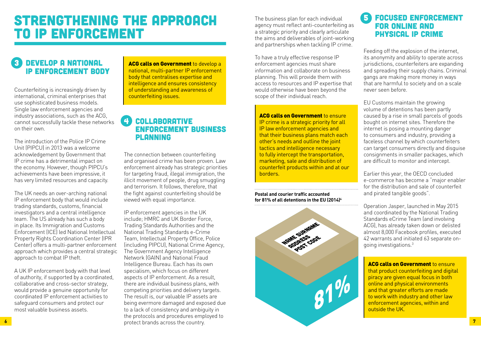The business plan for each individual agency must reflect anti-counterfeiting as a strategic priority and clearly articulate the aims and deliverables of joint-working and partnerships when tackling IP crime.

To have a truly effective response IP enforcement agencies must share information and collaborate on business planning. This will provide them with access to resources and IP expertise that would otherwise have been beyond the scope of their individual reach.

**ACG calls on Government to ensure** IP crime is a strategic priority for all IP law enforcement agencies and that their business plans match each other's needs and outline the joint tactics and intelligence necessary to fully intercept the transportation, marketing, sale and distribution of counterfeit products within and at our borders.

#### 5 Focused enforcement for online and physical IP crime

Feeding off the explosion of the internet, its anonymity and ability to operate across jurisdictions, counterfeiters are expanding and spreading their supply chains. Criminal gangs are making more money in ways that are harmful to society and on a scale never seen before.

**ACG calls on Government to ensure** that product counterfeiting and digital piracy are given equal focus in both online and physical environments and that greater efforts are made to work with industry and other law enforcement agencies, within and outside the UK.

### DEVELOP A NATIONAL IP enforcement body

EU Customs maintain the growing volume of detentions has been partly caused by a rise in small parcels of goods bought on internet sites. Therefore the internet is posing a mounting danger to consumers and industry, providing a faceless channel by which counterfeiters can target consumers directly and disguise consignments in smaller packages, which are difficult to monitor and intercept.

Earlier this year, the OECD concluded e-commerce has become a "major enabler for the distribution and sale of counterfeit and pirated tangible goods".

Operation Jasper, launched in May 2015 and coordinated by the National Trading Standards eCrime Team (and involving ACG), has already taken down or delisted almost 8,000 Facebook profiles, executed 42 warrants and initiated 63 separate ongoing investigations.3

**ACG calls on Government** to develop a national, multi-partner IP enforcement body that centralises expertise and intelligence and ensures consistency of understanding and awareness of counterfeiting issues.

> **Postal and courier traffic accounted for 81% of all detentions in the EU (2014)4**

Counterfeiting is increasingly driven by international, criminal enterprises that use sophisticated business models. Single law enforcement agencies and industry associations, such as the ACG, cannot successfully tackle these networks on their own.

The introduction of the Police IP Crime Unit (PIPCU) in 2013 was a welcome acknowledgement by Government that IP crime has a detrimental impact on the economy. However, though PIPCU's achievements have been impressive, it has very limited resources and capacity.

The UK needs an over-arching national IP enforcement body that would include trading standards, customs, financial investigators and a central intelligence team. The US already has such a body in place. Its Immigration and Customs Enforcement (ICE) led National Intellectual Property Rights Coordination Center (IPR Center) offers a multi-partner enforcement approach which provides a central strategic approach to combat IP theft.

A UK IP enforcement body with that level of authority, if supported by a coordinated, collaborative and cross-sector strategy, would provide a genuine opportunity for coordinated IP enforcement activities to safeguard consumers and protect our most valuable business assets.

#### 4 Collaborative enforcement business planning

The connection between counterfeiting and organised crime has been proven. Law enforcement already has strategic priorities for targeting fraud, illegal immigration, the illicit movement of people, drug smuggling and terrorism. It follows, therefore, that the fight against counterfeiting should be viewed with equal importance.

IP enforcement agencies in the UK include; HMRC and UK Border Force, Trading Standards Authorities and the National Trading Standards e-Crime Team, Intellectual Property Office, Police (including PIPCU), National Crime Agency, The Government Agency Intelligence Network (GAIN) and National Fraud Intelligence Bureau. Each has its own specialism, which focus on different aspects of IP enforcement. As a result, there are individual business plans, with competing priorities and delivery targets. The result is, our valuable IP assets are being evermore damaged and exposed due to a lack of consistency and ambiguity in the protocols and procedures employed to

### Strengthening the approach to IP enforcement

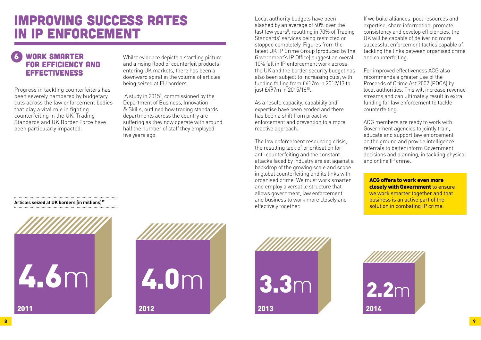#### WORK SMARTER for efficiency and effectiveness

Progress in tackling counterfeiters has been severely hampered by budgetary cuts across the law enforcement bodies that play a vital role in fighting counterfeiting in the UK. Trading Standards and UK Border Force have been particularly impacted.

Whilst evidence depicts a startling picture and a rising flood of counterfeit products entering UK markets, there has been a downward spiral in the volume of articles being seized at EU borders.

 A study in 20155 , commissioned by the Department of Business, Innovation & Skills, outlined how trading standards departments across the country are suffering as they now operate with around half the number of staff they employed five years ago.

Local authority budgets have been slashed by an average of 40% over the last few years<sup>8</sup>, resulting in 70% of Trading Standards' services being restricted or stopped completely. Figures from the latest UK IP Crime Group (produced by the Government's IP Office) suggest an overall 10% fall in IP enforcement work across the UK and the border security budget has also been subject to increasing cuts, with funding falling from £617m in 2012/13 to just £497m in 2015/1610.

As a result, capacity, capability and expertise have been eroded and there has been a shift from proactive enforcement and prevention to a more reactive approach.

The law enforcement resourcing crisis, the resulting lack of prioritisation for anti-counterfeiting and the constant attacks faced by industry are set against a backdrop of the growing scale and scope in global counterfeiting and its links with organised crime. We must work smarter and employ a versatile structure that allows government, law enforcement and business to work more closely and effectively together.

If we build alliances, pool resources and expertise, share information, promote consistency and develop efficiencies, the UK will be capable of delivering more successful enforcement tactics capable of tackling the links between organised crime and counterfeiting.

For improved effectiveness ACG also recommends a greater use of the Proceeds of Crime Act 2002 (POCA) by local authorities. This will increase revenue streams and can ultimately result in extra funding for law enforcement to tackle counterfeiting.

ACG members are ready to work with Government agencies to jointly train, educate and support law enforcement on the ground and provide intelligence referrals to better inform Government decisions and planning, in tackling physical and online IP crime.



### Improving success rates in IP enforcement

**Articles seized at UK borders (in millions)12**







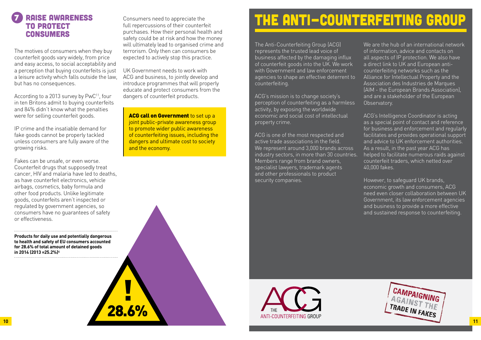#### 7 Raise awareness to protect consumers

The motives of consumers when they buy counterfeit goods vary widely, from price and easy access, to social acceptability and a perception that buying counterfeits is just a leisure activity which falls outside the law, but has no consequences.

According to a 2013 survey by PwC<sup>11</sup>, four in ten Britons admit to buying counterfeits and 84% didn't know what the penalties were for selling counterfeit goods.

IP crime and the insatiable demand for fake goods cannot be properly tackled unless consumers are fully aware of the growing risks.

Fakes can be unsafe, or even worse. Counterfeit drugs that supposedly treat cancer, HIV and malaria have led to deaths, as have counterfeit electronics, vehicle airbags, cosmetics, baby formula and other food products. Unlike legitimate goods, counterfeits aren't inspected or regulated by government agencies, so consumers have no guarantees of safety or effectiveness.

**ACG call on Government to set up a** joint public-private awareness group to promote wider public awareness of counterfeiting issues, including the dangers and ultimate cost to society and the economy.

Consumers need to appreciate the full repercussions of their counterfeit purchases. How their personal health and safety could be at risk and how the money will ultimately lead to organised crime and terrorism. Only then can consumers be expected to actively stop this practice.

UK Government needs to work with ACG and business, to jointly develop and introduce programmes that will properly educate and protect consumers from the dangers of counterfeit products.

We are the hub of an international network of information, advice and contacts on all aspects of IP protection. We also have a direct link to UK and European anticounterfeiting networks such as the Alliance for Intellectual Property and the Association des Industries de Marques (AIM - the European Brands Association), and are a stakeholder of the European Observatory.

The Anti-Counterfeiting Group (ACG) represents the trusted lead voice of business affected by the damaging influx of counterfeit goods into the UK. We work with Government and law enforcement agencies to shape an effective deterrent to counterfeiting.

ACG's mission is to change society's perception of counterfeiting as a harmless activity, by exposing the worldwide economic and social cost of intellectual property crime.

ACG is one of the most respected and active trade associations in the field. We represent around 3,000 brands across industry sectors, in more than 30 countries. Members range from brand owners, specialist lawyers, trademark agents and other professionals to product security companies.



ACG's Intelligence Coordinator is acting as a special point of contact and reference for business and enforcement and regularly facilitates and provides operational support and advice to UK enforcement authorities. As a result, in the past year ACG has helped to facilitate numerous raids against counterfeit traders, which netted over 40,000 fakes.

However, to safeguard UK brands, economic growth and consumers, ACG need even closer collaboration between UK Government, its law enforcement agencies and business to provide a more effective and sustained response to counterfeiting.

**Products for daily use and potentially dangerous to health and safety of EU consumers accounted for 28.6% of total amount of detained goods in 2014 (2013 =25.2%)4**

!<br>!

# The Anti-Counterfeiting Group

28.6%

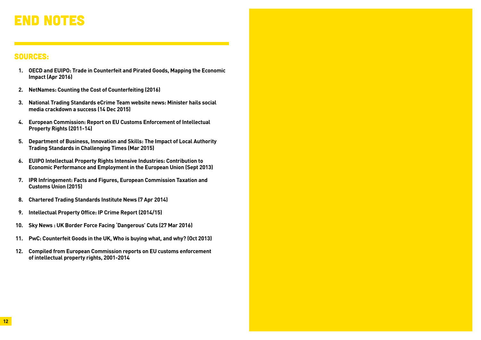## End notes

#### Sources:

- **1. OECD and EUIPO: Trade in Counterfeit and Pirated Goods, Mapping the Economic Impact (Apr 2016)**
- **2. NetNames: Counting the Cost of Counterfeiting (2016)**
- **3. National Trading Standards eCrime Team website news: Minister hails social media crackdown a success (14 Dec 2015)**
- **4. European Commission: Report on EU Customs Enforcement of Intellectual Property Rights (2011-14)**
- **5. Department of Business, Innovation and Skills: The Impact of Local Authority Trading Standards in Challenging Times (Mar 2015)**
- **6. EUIPO Intellectual Property Rights Intensive Industries: Contribution to Economic Performance and Employment in the European Union (Sept 2013)**
- **7. IPR Infringement: Facts and Figures, European Commission Taxation and Customs Union (2015)**
- **8. Chartered Trading Standards Institute News (7 Apr 2014)**
- **9. Intellectual Property Office: IP Crime Report (2014/15)**
- **10. Sky News : UK Border Force Facing 'Dangerous' Cuts (27 Mar 2016)**
- **11. PwC: Counterfeit Goods in the UK, Who is buying what, and why? (Oct 2013)**
- **12. Compiled from European Commission reports on EU customs enforcement of intellectual property rights, 2001-2014**